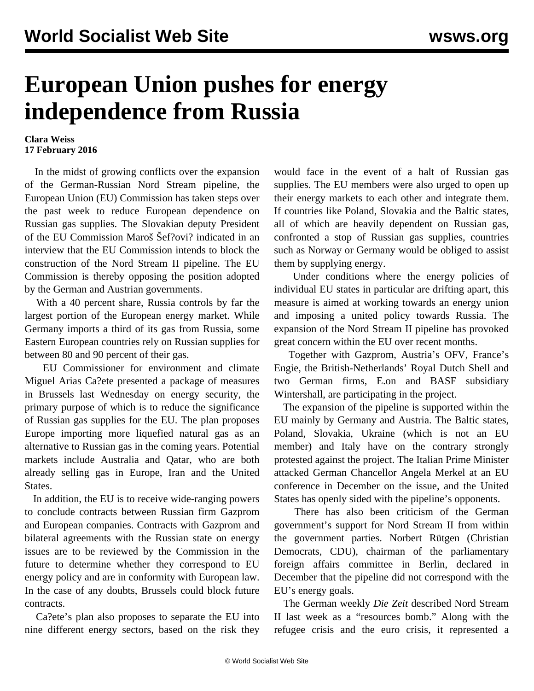## **European Union pushes for energy independence from Russia**

## **Clara Weiss 17 February 2016**

 In the midst of growing conflicts over the expansion of the German-Russian Nord Stream pipeline, the European Union (EU) Commission has taken steps over the past week to reduce European dependence on Russian gas supplies. The Slovakian deputy President of the EU Commission Maroš Šef?ovi? indicated in an interview that the EU Commission intends to block the construction of the Nord Stream II pipeline. The EU Commission is thereby opposing the position adopted by the German and Austrian governments.

 With a 40 percent share, Russia controls by far the largest portion of the European energy market. While Germany imports a third of its gas from Russia, some Eastern European countries rely on Russian supplies for between 80 and 90 percent of their gas.

 EU Commissioner for environment and climate Miguel Arias Ca?ete presented a package of measures in Brussels last Wednesday on energy security, the primary purpose of which is to reduce the significance of Russian gas supplies for the EU. The plan proposes Europe importing more liquefied natural gas as an alternative to Russian gas in the coming years. Potential markets include Australia and Qatar, who are both already selling gas in Europe, Iran and the United States.

 In addition, the EU is to receive wide-ranging powers to conclude contracts between Russian firm Gazprom and European companies. Contracts with Gazprom and bilateral agreements with the Russian state on energy issues are to be reviewed by the Commission in the future to determine whether they correspond to EU energy policy and are in conformity with European law. In the case of any doubts, Brussels could block future contracts.

 Ca?ete's plan also proposes to separate the EU into nine different energy sectors, based on the risk they

would face in the event of a halt of Russian gas supplies. The EU members were also urged to open up their energy markets to each other and integrate them. If countries like Poland, Slovakia and the Baltic states, all of which are heavily dependent on Russian gas, confronted a stop of Russian gas supplies, countries such as Norway or Germany would be obliged to assist them by supplying energy.

Under conditions where the energy policies of individual EU states in particular are drifting apart, this measure is aimed at working towards an energy union and imposing a united policy towards Russia. The expansion of the Nord Stream II pipeline has provoked great concern within the EU over recent months.

 Together with Gazprom, Austria's OFV, France's Engie, the British-Netherlands' Royal Dutch Shell and two German firms, E.on and BASF subsidiary Wintershall, are participating in the project.

 The expansion of the pipeline is supported within the EU mainly by Germany and Austria. The Baltic states, Poland, Slovakia, Ukraine (which is not an EU member) and Italy have on the contrary strongly protested against the project. The Italian Prime Minister attacked German Chancellor Angela Merkel at an EU conference in December on the issue, and the United States has openly sided with the pipeline's opponents.

 There has also been criticism of the German government's support for Nord Stream II from within the government parties. Norbert Rütgen (Christian Democrats, CDU), chairman of the parliamentary foreign affairs committee in Berlin, declared in December that the pipeline did not correspond with the EU's energy goals.

 The German weekly *Die Zeit* described Nord Stream II last week as a "resources bomb." Along with the refugee crisis and the euro crisis, it represented a